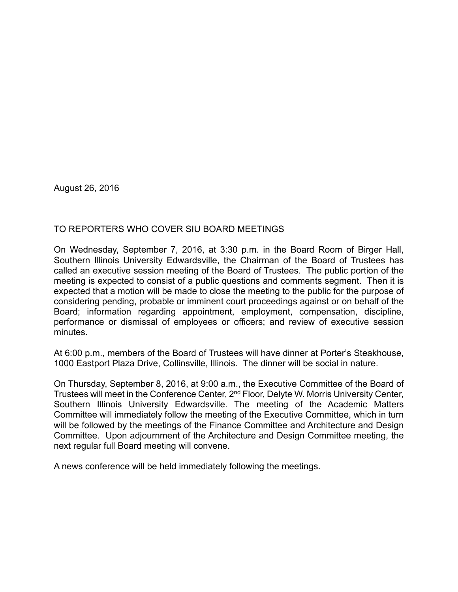August 26, 2016

## TO REPORTERS WHO COVER SIU BOARD MEETINGS

On Wednesday, September 7, 2016, at 3:30 p.m. in the Board Room of Birger Hall, Southern Illinois University Edwardsville, the Chairman of the Board of Trustees has called an executive session meeting of the Board of Trustees. The public portion of the meeting is expected to consist of a public questions and comments segment. Then it is expected that a motion will be made to close the meeting to the public for the purpose of considering pending, probable or imminent court proceedings against or on behalf of the Board; information regarding appointment, employment, compensation, discipline, performance or dismissal of employees or officers; and review of executive session minutes.

At 6:00 p.m., members of the Board of Trustees will have dinner at Porter's Steakhouse, 1000 Eastport Plaza Drive, Collinsville, Illinois. The dinner will be social in nature.

On Thursday, September 8, 2016, at 9:00 a.m., the Executive Committee of the Board of Trustees will meet in the Conference Center, 2nd Floor, Delyte W. Morris University Center, Southern Illinois University Edwardsville. The meeting of the Academic Matters Committee will immediately follow the meeting of the Executive Committee, which in turn will be followed by the meetings of the Finance Committee and Architecture and Design Committee. Upon adjournment of the Architecture and Design Committee meeting, the next regular full Board meeting will convene.

A news conference will be held immediately following the meetings.